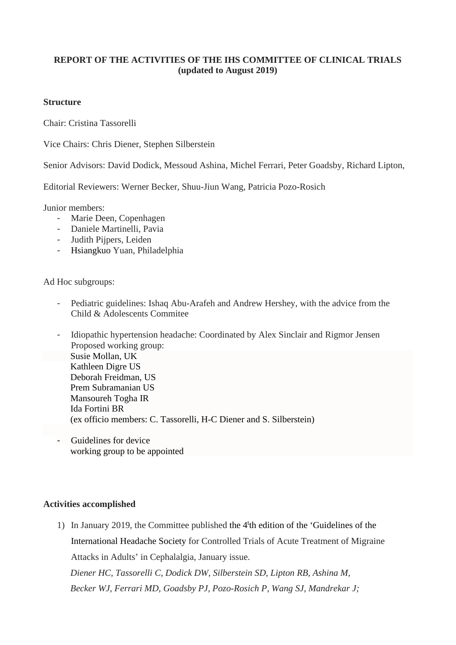# **REPORT OF THE ACTIVITIES OF THE IHS COMMITTEE OF CLINICAL TRIALS (updated to August 2019)**

#### **Structure**

Chair: Cristina Tassorelli

Vice Chairs: Chris Diener, Stephen Silberstein

Senior Advisors: David Dodick, Messoud Ashina, Michel Ferrari, Peter Goadsby, Richard Lipton,

Editorial Reviewers: Werner Becker, Shuu-Jiun Wang, Patricia Pozo-Rosich

Junior members:

- Marie Deen, Copenhagen
- Daniele Martinelli, Pavia
- Judith Pijpers, Leiden
- Hsiangkuo Yuan, Philadelphia

Ad Hoc subgroups:

- Pediatric guidelines: Ishaq Abu-Arafeh and Andrew Hershey, with the advice from the Child & Adolescents Commitee

- Idiopathic hypertension headache: Coordinated by Alex Sinclair and Rigmor Jensen Proposed working group: Susie Mollan, UK Kathleen Digre US Deborah Freidman, US Prem Subramanian US Mansoureh Togha IR Ida Fortini BR (ex officio members: C. Tassorelli, H-C Diener and S. Silberstein)

- Guidelines for device working group to be appointed

### **Activities accomplished**

1) In January 2019, the Committee published the 4<sup>t</sup> th edition of the 'Guidelines of the International Headache Society for Controlled Trials of Acute Treatment of Migraine Attacks in Adults' in Cephalalgia, January issue.

*Diener HC, Tassorelli C, Dodick DW, Silberstein SD, Lipton RB, Ashina M, Becker WJ, Ferrari MD, Goadsby PJ, Pozo-Rosich P, Wang SJ, Mandrekar J;*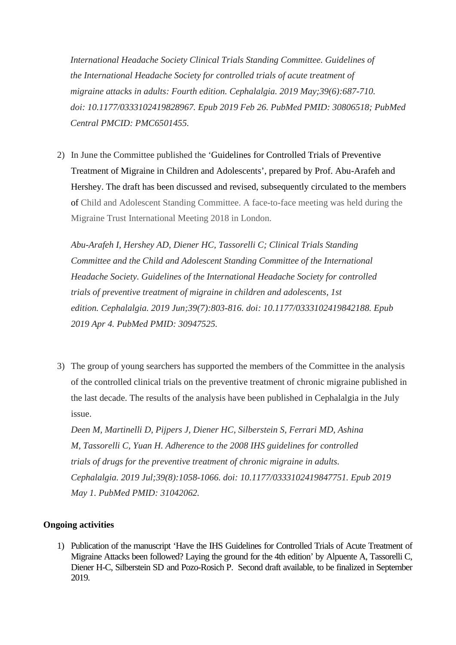*International Headache Society Clinical Trials Standing Committee. Guidelines of the International Headache Society for controlled trials of acute treatment of migraine attacks in adults: Fourth edition. Cephalalgia. 2019 May;39(6):687-710. doi: 10.1177/0333102419828967. Epub 2019 Feb 26. PubMed PMID: 30806518; PubMed Central PMCID: PMC6501455.* 

2) In June the Committee published the 'Guidelines for Controlled Trials of Preventive Treatment of Migraine in Children and Adolescents', prepared by Prof. Abu-Arafeh and Hershey. The draft has been discussed and revised, subsequently circulated to the members of Child and Adolescent Standing Committee. A face-to-face meeting was held during the Migraine Trust International Meeting 2018 in London.

*Abu-Arafeh I, Hershey AD, Diener HC, Tassorelli C; Clinical Trials Standing Committee and the Child and Adolescent Standing Committee of the International Headache Society. Guidelines of the International Headache Society for controlled trials of preventive treatment of migraine in children and adolescents, 1st edition. Cephalalgia. 2019 Jun;39(7):803-816. doi: 10.1177/0333102419842188. Epub 2019 Apr 4. PubMed PMID: 30947525.* 

3) The group of young searchers has supported the members of the Committee in the analysis of the controlled clinical trials on the preventive treatment of chronic migraine published in the last decade. The results of the analysis have been published in Cephalalgia in the July issue.

*Deen M, Martinelli D, Pijpers J, Diener HC, Silberstein S, Ferrari MD, Ashina M, Tassorelli C, Yuan H. Adherence to the 2008 IHS guidelines for controlled trials of drugs for the preventive treatment of chronic migraine in adults. Cephalalgia. 2019 Jul;39(8):1058-1066. doi: 10.1177/0333102419847751. Epub 2019 May 1. PubMed PMID: 31042062.* 

### **Ongoing activities**

1) Publication of the manuscript 'Have the IHS Guidelines for Controlled Trials of Acute Treatment of Migraine Attacks been followed? Laying the ground for the 4th edition' by Alpuente A, Tassorelli C, Diener H-C, Silberstein SD and Pozo-Rosich P. Second draft available, to be finalized in September 2019.